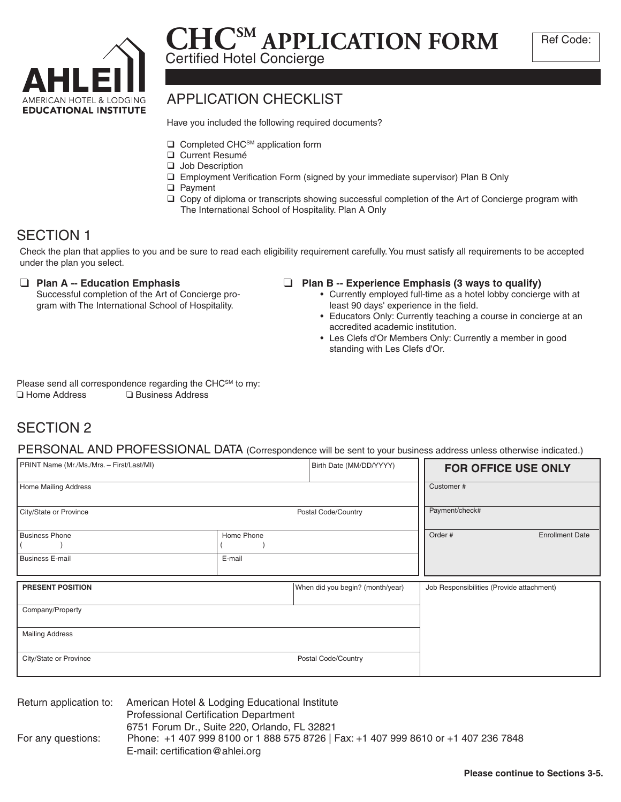

## **CHCSM APPLICATION FORM** Certified Hotel Concierge

## APPLICATION CHECKLIST

Have you included the following required documents?

- $\Box$  Completed CHC<sup>SM</sup> application form
- **Q** Current Resumé
- **Q** Job Description
- □ Employment Verification Form (signed by your immediate supervisor) Plan B Only
- **Q** Payment
- $\Box$  Copy of diploma or transcripts showing successful completion of the Art of Concierge program with The International School of Hospitality. Plan A Only

## SECTION 1

Check the plan that applies to you and be sure to read each eligibility requirement carefully. You must satisfy all requirements to be accepted under the plan you select.

### **Plan A -- Education Emphasis**

Successful completion of the Art of Concierge program with The International School of Hospitality.

### **Plan B -- Experience Emphasis (3 ways to qualify)**

- Currently employed full-time as a hotel lobby concierge with at least 90 days' experience in the field.
- Educators Only: Currently teaching a course in concierge at an accredited academic institution.
- Les Clefs d'Or Members Only: Currently a member in good standing with Les Clefs d'Or.

Please send all correspondence regarding the CHC<sup>SM</sup> to my:  $\Box$  Home Address  $\Box$  Business Address

## SECTION 2

PERSONAL AND PROFESSIONAL DATA (Correspondence will be sent to your business address unless otherwise indicated.)

| PRINT Name (Mr./Ms./Mrs. - First/Last/MI)     |            | Birth Date (MM/DD/YYYY)          | <b>FOR OFFICE USE ONLY</b>                |
|-----------------------------------------------|------------|----------------------------------|-------------------------------------------|
| Home Mailing Address                          |            |                                  | Customer#                                 |
| City/State or Province<br>Postal Code/Country |            |                                  | Payment/check#                            |
| <b>Business Phone</b>                         | Home Phone |                                  | Order #<br><b>Enrollment Date</b>         |
| <b>Business E-mail</b>                        | E-mail     |                                  |                                           |
| <b>PRESENT POSITION</b>                       |            | When did you begin? (month/year) | Job Responsibilities (Provide attachment) |
| Company/Property                              |            |                                  |                                           |
| <b>Mailing Address</b>                        |            |                                  |                                           |
| City/State or Province<br>Postal Code/Country |            |                                  |                                           |

Return application to: American Hotel & Lodging Educational Institute For any questions: Professional Certification Department 6751 Forum Dr., Suite 220, Orlando, FL 32821 Phone: +1 407 999 8100 or 1 888 575 8726 | Fax: +1 407 999 8610 or +1 407 236 7848 E-mail: certification@ahlei.org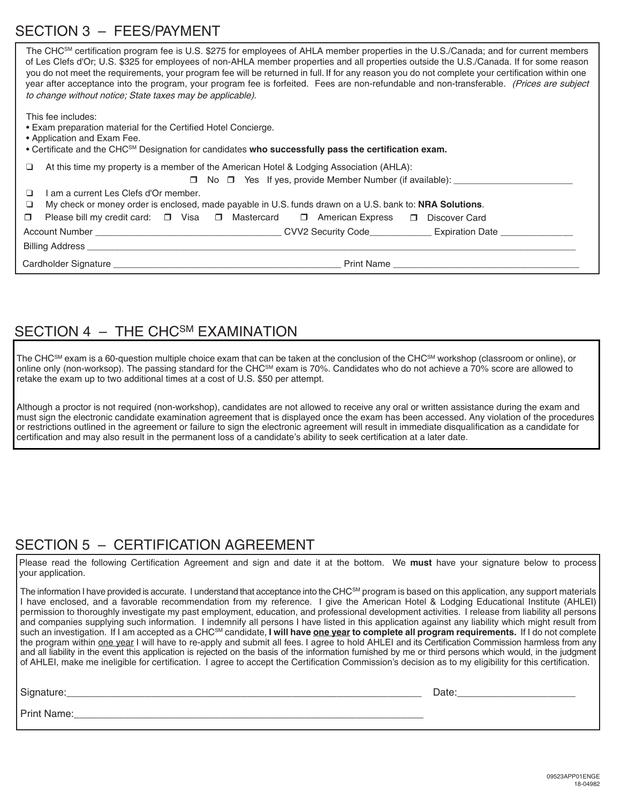## SECTION 3 – FEES/PAYMENT

| The CHC <sup>SM</sup> certification program fee is U.S. \$275 for employees of AHLA member properties in the U.S./Canada; and for current members<br>of Les Clefs d'Or; U.S. \$325 for employees of non-AHLA member properties and all properties outside the U.S./Canada. If for some reason<br>you do not meet the requirements, your program fee will be returned in full. If for any reason you do not complete your certification within one<br>year after acceptance into the program, your program fee is forfeited. Fees are non-refundable and non-transferable. (Prices are subject<br>to change without notice; State taxes may be applicable). |  |  |  |  |  |
|------------------------------------------------------------------------------------------------------------------------------------------------------------------------------------------------------------------------------------------------------------------------------------------------------------------------------------------------------------------------------------------------------------------------------------------------------------------------------------------------------------------------------------------------------------------------------------------------------------------------------------------------------------|--|--|--|--|--|
| This fee includes:<br>• Exam preparation material for the Certified Hotel Concierge.<br>• Application and Exam Fee.<br>• Certificate and the CHC <sup>SM</sup> Designation for candidates who successfully pass the certification exam.                                                                                                                                                                                                                                                                                                                                                                                                                    |  |  |  |  |  |
| At this time my property is a member of the American Hotel & Lodging Association (AHLA):<br>□<br>$\Box$ No $\Box$ Yes If yes, provide Member Number (if available):                                                                                                                                                                                                                                                                                                                                                                                                                                                                                        |  |  |  |  |  |
| I am a current Les Clefs d'Or member.<br>$\Box$                                                                                                                                                                                                                                                                                                                                                                                                                                                                                                                                                                                                            |  |  |  |  |  |
| My check or money order is enclosed, made payable in U.S. funds drawn on a U.S. bank to: <b>NRA Solutions</b> .<br>❏                                                                                                                                                                                                                                                                                                                                                                                                                                                                                                                                       |  |  |  |  |  |
| Please bill my credit card: □ Visa □ Mastercard □ American Express □ Discover Card<br>$\Box$                                                                                                                                                                                                                                                                                                                                                                                                                                                                                                                                                               |  |  |  |  |  |
|                                                                                                                                                                                                                                                                                                                                                                                                                                                                                                                                                                                                                                                            |  |  |  |  |  |
|                                                                                                                                                                                                                                                                                                                                                                                                                                                                                                                                                                                                                                                            |  |  |  |  |  |
|                                                                                                                                                                                                                                                                                                                                                                                                                                                                                                                                                                                                                                                            |  |  |  |  |  |
|                                                                                                                                                                                                                                                                                                                                                                                                                                                                                                                                                                                                                                                            |  |  |  |  |  |

### SECTION 4 - THE CHC<sup>SM</sup> EXAMINATION

The CHC<sup>SM</sup> exam is a 60-question multiple choice exam that can be taken at the conclusion of the CHC<sup>SM</sup> workshop (classroom or online), or online only (non-worksop). The passing standard for the CHC<sup>SM</sup> exam is 70%. Candidates who do not achieve a 70% score are allowed to retake the exam up to two additional times at a cost of U.S. \$50 per attempt.

Although a proctor is not required (non-workshop), candidates are not allowed to receive any oral or written assistance during the exam and must sign the electronic candidate examination agreement that is displayed once the exam has been accessed. Any violation of the procedures or restrictions outlined in the agreement or failure to sign the electronic agreement will result in immediate disqualification as a candidate for certification and may also result in the permanent loss of a candidate's ability to seek certification at a later date.

## SECTION 5 – CERTIFICATION AGREEMENT

Please read the following Certification Agreement and sign and date it at the bottom. We **must** have your signature below to process your application.

The information I have provided is accurate. I understand that acceptance into the CHC<sup>SM</sup> program is based on this application, any support materials I have enclosed, and a favorable recommendation from my reference. I give the American Hotel & Lodging Educational Institute (AHLEI) permission to thoroughly investigate my past employment, education, and professional development activities. I release from liability all persons and companies supplying such information. I indemnify all persons I have listed in this application against any liability which might result from such an investigation. If I am accepted as a CHC<sup>sM</sup> candidate, I will have one year to complete all program requirements. If I do not complete the program within one year I will have to re-apply and submit all fees. I agree to hold AHLEI and its Certification Commission harmless from any and all liability in the event this application is rejected on the basis of the information furnished by me or third persons which would, in the judgment of AHLEI, make me ineligible for certification. I agree to accept the Certification Commission's decision as to my eligibility for this certification.

| Signature.  | Date |
|-------------|------|
| Print Name. |      |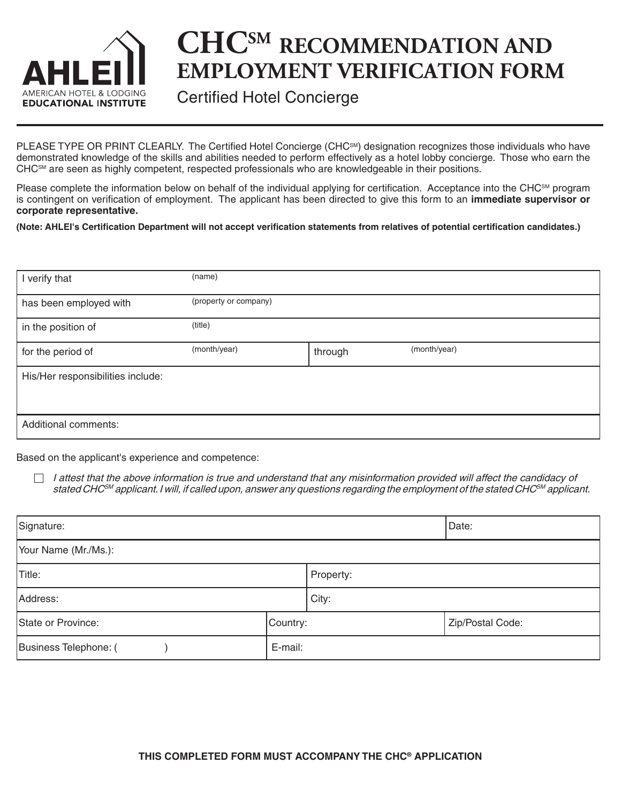

# **CHCSM RECOMMENDATION AND EMPLOYMENT VERIFICATION FORM**

Certified Hotel Concierge

PLEASE TYPE OR PRINT CLEARLY. The Certified Hotel Concierge (CHC<sup>SM</sup>) designation recognizes those individuals who have demonstrated knowledge of the skills and abilities needed to perform effectively as a hotel lobby concierge. Those who earn the CHC<sup>SM</sup> are seen as highly competent, respected professionals who are knowledgeable in their positions.

Please complete the information below on behalf of the individual applying for certification. Acceptance into the CHC<sup>SM</sup> program is contingent on verification of employment. The applicant has been directed to give this form to an **immediate supervisor or corporate representative.**

**(Note: AHLEI's Certification Department will not accept verification statements from relatives of potential certification candidates.)**

| I verify that                     | (name)                |         |              |
|-----------------------------------|-----------------------|---------|--------------|
| has been employed with            | (property or company) |         |              |
| in the position of                | (title)               |         |              |
| for the period of                 | (month/year)          | through | (month/year) |
| His/Her responsibilities include: |                       |         |              |
|                                   |                       |         |              |
| Additional comments:              |                       |         |              |

Based on the applicant's experience and competence:

I attest that the above information is true and understand that any misinformation provided will affect the candidacy of  $\Box$ stated CHC<sup>sM</sup> applicant. I will, if called upon, answer any questions regarding the employment of the stated CHC<sup>sM</sup> applicant.

| Signature:            | Date:    |           |                  |  |  |  |
|-----------------------|----------|-----------|------------------|--|--|--|
| Your Name (Mr./Ms.):  |          |           |                  |  |  |  |
| Title:                |          | Property: |                  |  |  |  |
| Address:              |          | City:     |                  |  |  |  |
| State or Province:    | Country: |           | Zip/Postal Code: |  |  |  |
| Business Telephone: ( | E-mail:  |           |                  |  |  |  |